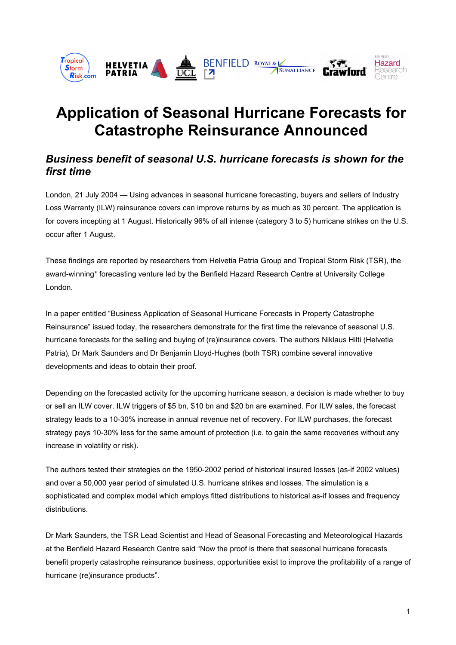

# **Application of Seasonal Hurricane Forecasts for Catastrophe Reinsurance Announced**

# *Business benefit of seasonal U.S. hurricane forecasts is shown for the first time*

London, 21 July 2004 — Using advances in seasonal hurricane forecasting, buyers and sellers of Industry Loss Warranty (ILW) reinsurance covers can improve returns by as much as 30 percent. The application is for covers incepting at 1 August. Historically 96% of all intense (category 3 to 5) hurricane strikes on the U.S. occur after 1 August.

These findings are reported by researchers from Helvetia Patria Group and Tropical Storm Risk (TSR), the award-winning\* forecasting venture led by the Benfield Hazard Research Centre at University College London.

In a paper entitled "Business Application of Seasonal Hurricane Forecasts in Property Catastrophe Reinsurance" issued today, the researchers demonstrate for the first time the relevance of seasonal U.S. hurricane forecasts for the selling and buying of (re)insurance covers. The authors Niklaus Hilti (Helvetia Patria), Dr Mark Saunders and Dr Benjamin Lloyd-Hughes (both TSR) combine several innovative developments and ideas to obtain their proof.

Depending on the forecasted activity for the upcoming hurricane season, a decision is made whether to buy or sell an ILW cover. ILW triggers of \$5 bn, \$10 bn and \$20 bn are examined. For ILW sales, the forecast strategy leads to a 10-30% increase in annual revenue net of recovery. For ILW purchases, the forecast strategy pays 10-30% less for the same amount of protection (i.e. to gain the same recoveries without any increase in volatility or risk).

The authors tested their strategies on the 1950-2002 period of historical insured losses (as-if 2002 values) and over a 50,000 year period of simulated U.S. hurricane strikes and losses. The simulation is a sophisticated and complex model which employs fitted distributions to historical as-if losses and frequency distributions.

Dr Mark Saunders, the TSR Lead Scientist and Head of Seasonal Forecasting and Meteorological Hazards at the Benfield Hazard Research Centre said "Now the proof is there that seasonal hurricane forecasts benefit property catastrophe reinsurance business, opportunities exist to improve the profitability of a range of hurricane (re)insurance products".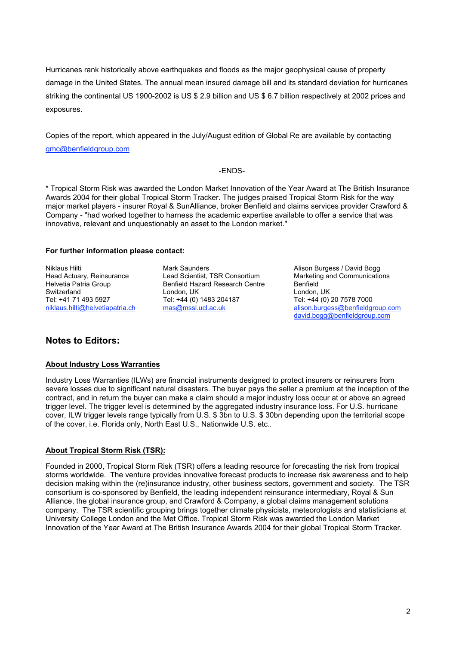Hurricanes rank historically above earthquakes and floods as the major geophysical cause of property damage in the United States. The annual mean insured damage bill and its standard deviation for hurricanes striking the continental US 1900-2002 is US \$ 2.9 billion and US \$ 6.7 billion respectively at 2002 prices and exposures.

Copies of the report, which appeared in the July/August edition of Global Re are available by contacting gmc@benfieldgroup.com

### -ENDS-

\* Tropical Storm Risk was awarded the London Market Innovation of the Year Award at The British Insurance Awards 2004 for their global Tropical Storm Tracker. The judges praised Tropical Storm Risk for the way major market players - insurer Royal & SunAlliance, broker Benfield and claims services provider Crawford & Company - "had worked together to harness the academic expertise available to offer a service that was innovative, relevant and unquestionably an asset to the London market."

### **For further information please contact:**

Tel: +41 71 493 5927 Tel: +44 (0) 1483 204187<br>
niklaus.hilti@helvetiapatria.ch mas@mssl.ucl.ac.uk

Niklaus Hilti Mark Saunders Mark Saunders Alison Burgess / David Bogg<br>Head Actuary, Reinsurance Lead Scientist, TSR Consortium Marketing and Communicatic Head Actuary, Reinsurance **Lead Scientist, TSR Consortium** Marketing and Communications<br>Helvetia Patria Group **Benfield Hazard Research Centre** Benfield Benfield Hazard Research Centre Switzerland London, UK London, UK

alison.burgess@benfieldgroup.com david.bogg@benfieldgroup.com

# **Notes to Editors:**

# **About Industry Loss Warranties**

Industry Loss Warranties (ILWs) are financial instruments designed to protect insurers or reinsurers from severe losses due to significant natural disasters. The buyer pays the seller a premium at the inception of the contract, and in return the buyer can make a claim should a major industry loss occur at or above an agreed trigger level. The trigger level is determined by the aggregated industry insurance loss. For U.S. hurricane cover, ILW trigger levels range typically from U.S. \$ 3bn to U.S. \$ 30bn depending upon the territorial scope of the cover, i.e. Florida only, North East U.S., Nationwide U.S. etc..

# **About Tropical Storm Risk (TSR):**

Founded in 2000, Tropical Storm Risk (TSR) offers a leading resource for forecasting the risk from tropical storms worldwide. The venture provides innovative forecast products to increase risk awareness and to help decision making within the (re)insurance industry, other business sectors, government and society. The TSR consortium is co-sponsored by Benfield, the leading independent reinsurance intermediary, Royal & Sun Alliance, the global insurance group, and Crawford & Company, a global claims management solutions company. The TSR scientific grouping brings together climate physicists, meteorologists and statisticians at University College London and the Met Office. Tropical Storm Risk was awarded the London Market Innovation of the Year Award at The British Insurance Awards 2004 for their global Tropical Storm Tracker.